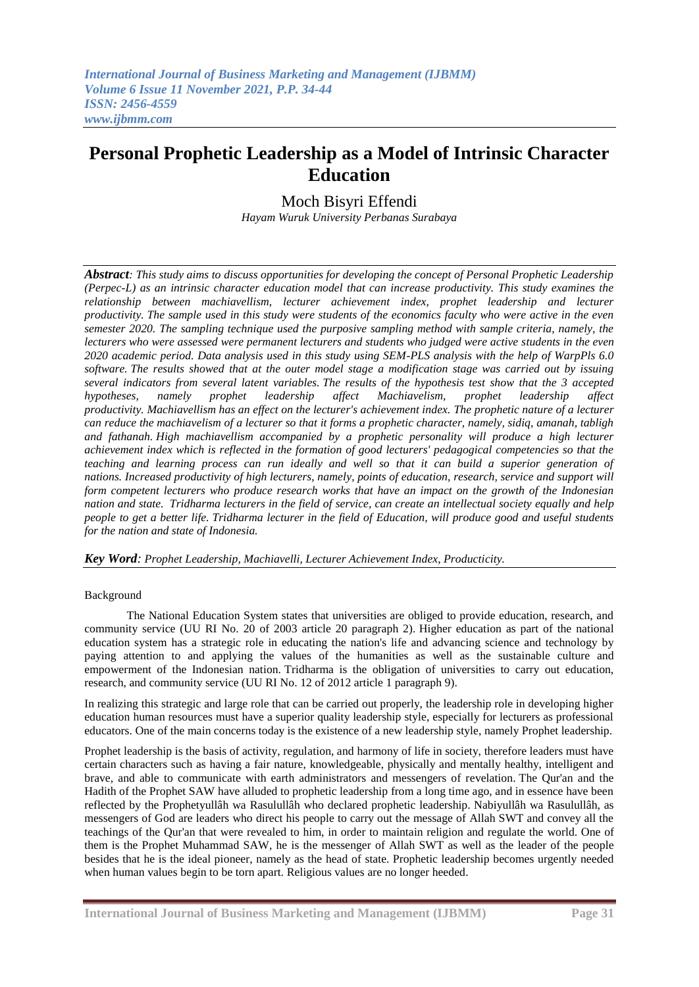# **Personal Prophetic Leadership as a Model of Intrinsic Character Education**

Moch Bisyri Effendi *Hayam Wuruk University Perbanas Surabaya*

*Abstract: This study aims to discuss opportunities for developing the concept of Personal Prophetic Leadership (Perpec-L) as an intrinsic character education model that can increase productivity. This study examines the relationship between machiavellism, lecturer achievement index, prophet leadership and lecturer productivity. The sample used in this study were students of the economics faculty who were active in the even semester 2020. The sampling technique used the purposive sampling method with sample criteria, namely, the lecturers who were assessed were permanent lecturers and students who judged were active students in the even 2020 academic period. Data analysis used in this study using SEM-PLS analysis with the help of WarpPls 6.0 software. The results showed that at the outer model stage a modification stage was carried out by issuing several indicators from several latent variables. The results of the hypothesis test show that the 3 accepted hypotheses, namely prophet leadership affect Machiavelism, prophet leadership affect productivity. Machiavellism has an effect on the lecturer's achievement index. The prophetic nature of a lecturer can reduce the machiavelism of a lecturer so that it forms a prophetic character, namely, sidiq, amanah, tabligh and fathanah. High machiavellism accompanied by a prophetic personality will produce a high lecturer achievement index which is reflected in the formation of good lecturers' pedagogical competencies so that the teaching and learning process can run ideally and well so that it can build a superior generation of nations. Increased productivity of high lecturers, namely, points of education, research, service and support will form competent lecturers who produce research works that have an impact on the growth of the Indonesian nation and state. Tridharma lecturers in the field of service, can create an intellectual society equally and help people to get a better life. Tridharma lecturer in the field of Education, will produce good and useful students for the nation and state of Indonesia.*

*Key Word: Prophet Leadership, Machiavelli, Lecturer Achievement Index, Producticity.*

### Background

The National Education System states that universities are obliged to provide education, research, and community service (UU RI No. 20 of 2003 article 20 paragraph 2). Higher education as part of the national education system has a strategic role in educating the nation's life and advancing science and technology by paying attention to and applying the values of the humanities as well as the sustainable culture and empowerment of the Indonesian nation. Tridharma is the obligation of universities to carry out education, research, and community service (UU RI No. 12 of 2012 article 1 paragraph 9).

In realizing this strategic and large role that can be carried out properly, the leadership role in developing higher education human resources must have a superior quality leadership style, especially for lecturers as professional educators. One of the main concerns today is the existence of a new leadership style, namely Prophet leadership.

Prophet leadership is the basis of activity, regulation, and harmony of life in society, therefore leaders must have certain characters such as having a fair nature, knowledgeable, physically and mentally healthy, intelligent and brave, and able to communicate with earth administrators and messengers of revelation. The Qur'an and the Hadith of the Prophet SAW have alluded to prophetic leadership from a long time ago, and in essence have been reflected by the Prophetyullâh wa Rasulullâh who declared prophetic leadership. Nabiyullâh wa Rasulullâh, as messengers of God are leaders who direct his people to carry out the message of Allah SWT and convey all the teachings of the Qur'an that were revealed to him, in order to maintain religion and regulate the world. One of them is the Prophet Muhammad SAW, he is the messenger of Allah SWT as well as the leader of the people besides that he is the ideal pioneer, namely as the head of state. Prophetic leadership becomes urgently needed when human values begin to be torn apart. Religious values are no longer heeded.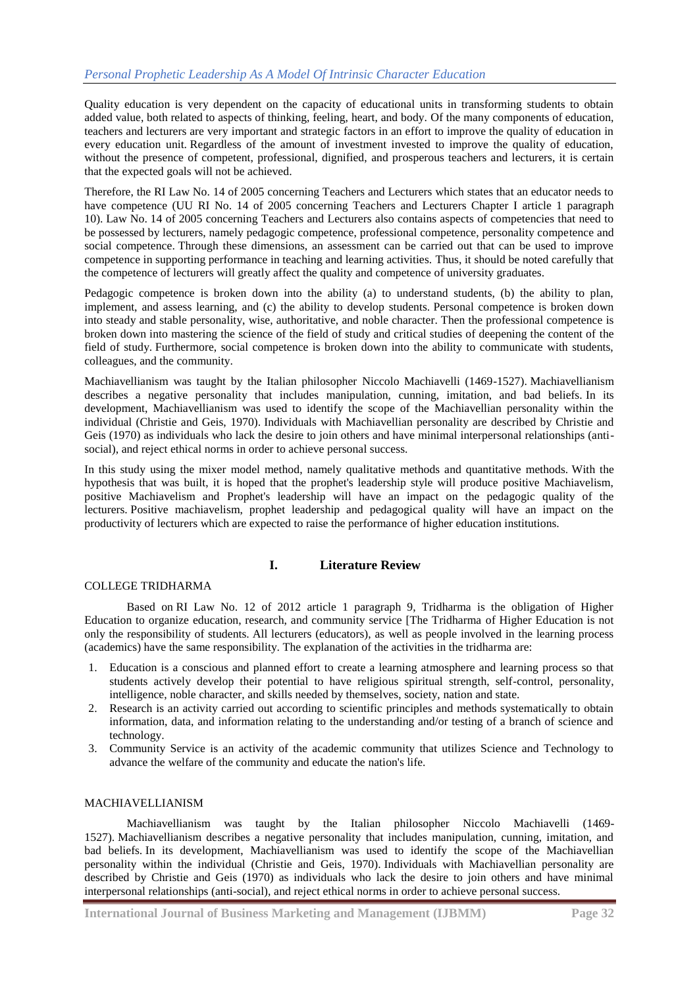Quality education is very dependent on the capacity of educational units in transforming students to obtain added value, both related to aspects of thinking, feeling, heart, and body. Of the many components of education, teachers and lecturers are very important and strategic factors in an effort to improve the quality of education in every education unit. Regardless of the amount of investment invested to improve the quality of education, without the presence of competent, professional, dignified, and prosperous teachers and lecturers, it is certain that the expected goals will not be achieved.

Therefore, the RI Law No. 14 of 2005 concerning Teachers and Lecturers which states that an educator needs to have competence (UU RI No. 14 of 2005 concerning Teachers and Lecturers Chapter I article 1 paragraph 10). Law No. 14 of 2005 concerning Teachers and Lecturers also contains aspects of competencies that need to be possessed by lecturers, namely pedagogic competence, professional competence, personality competence and social competence. Through these dimensions, an assessment can be carried out that can be used to improve competence in supporting performance in teaching and learning activities. Thus, it should be noted carefully that the competence of lecturers will greatly affect the quality and competence of university graduates.

Pedagogic competence is broken down into the ability (a) to understand students, (b) the ability to plan, implement, and assess learning, and (c) the ability to develop students. Personal competence is broken down into steady and stable personality, wise, authoritative, and noble character. Then the professional competence is broken down into mastering the science of the field of study and critical studies of deepening the content of the field of study. Furthermore, social competence is broken down into the ability to communicate with students, colleagues, and the community.

Machiavellianism was taught by the Italian philosopher Niccolo Machiavelli (1469-1527). Machiavellianism describes a negative personality that includes manipulation, cunning, imitation, and bad beliefs. In its development, Machiavellianism was used to identify the scope of the Machiavellian personality within the individual (Christie and Geis, 1970). Individuals with Machiavellian personality are described by Christie and Geis (1970) as individuals who lack the desire to join others and have minimal interpersonal relationships (antisocial), and reject ethical norms in order to achieve personal success.

In this study using the mixer model method, namely qualitative methods and quantitative methods. With the hypothesis that was built, it is hoped that the prophet's leadership style will produce positive Machiavelism, positive Machiavelism and Prophet's leadership will have an impact on the pedagogic quality of the lecturers. Positive machiavelism, prophet leadership and pedagogical quality will have an impact on the productivity of lecturers which are expected to raise the performance of higher education institutions.

# **I. Literature Review**

# COLLEGE TRIDHARMA

Based on RI Law No. 12 of 2012 article 1 paragraph 9, Tridharma is the obligation of Higher Education to organize education, research, and community service [The Tridharma of Higher Education is not only the responsibility of students. All lecturers (educators), as well as people involved in the learning process (academics) have the same responsibility. The explanation of the activities in the tridharma are:

- 1. Education is a conscious and planned effort to create a learning atmosphere and learning process so that students actively develop their potential to have religious spiritual strength, self-control, personality, intelligence, noble character, and skills needed by themselves, society, nation and state.
- 2. Research is an activity carried out according to scientific principles and methods systematically to obtain information, data, and information relating to the understanding and/or testing of a branch of science and technology.
- 3. Community Service is an activity of the academic community that utilizes Science and Technology to advance the welfare of the community and educate the nation's life.

## MACHIAVELLIANISM

Machiavellianism was taught by the Italian philosopher Niccolo Machiavelli (1469- 1527). Machiavellianism describes a negative personality that includes manipulation, cunning, imitation, and bad beliefs. In its development, Machiavellianism was used to identify the scope of the Machiavellian personality within the individual (Christie and Geis, 1970). Individuals with Machiavellian personality are described by Christie and Geis (1970) as individuals who lack the desire to join others and have minimal interpersonal relationships (anti-social), and reject ethical norms in order to achieve personal success.

**International Journal of Business Marketing and Management (IJBMM) Page 32**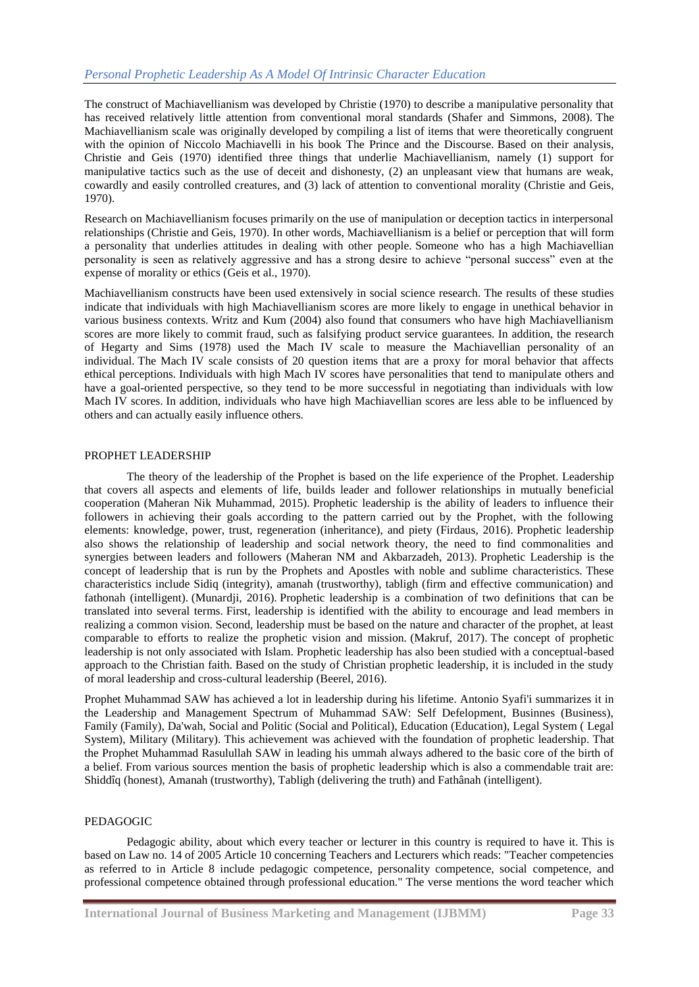The construct of Machiavellianism was developed by Christie (1970) to describe a manipulative personality that has received relatively little attention from conventional moral standards (Shafer and Simmons, 2008). The Machiavellianism scale was originally developed by compiling a list of items that were theoretically congruent with the opinion of Niccolo Machiavelli in his book The Prince and the Discourse. Based on their analysis, Christie and Geis (1970) identified three things that underlie Machiavellianism, namely (1) support for manipulative tactics such as the use of deceit and dishonesty, (2) an unpleasant view that humans are weak, cowardly and easily controlled creatures, and (3) lack of attention to conventional morality (Christie and Geis, 1970).

Research on Machiavellianism focuses primarily on the use of manipulation or deception tactics in interpersonal relationships (Christie and Geis, 1970). In other words, Machiavellianism is a belief or perception that will form a personality that underlies attitudes in dealing with other people. Someone who has a high Machiavellian personality is seen as relatively aggressive and has a strong desire to achieve "personal success" even at the expense of morality or ethics (Geis et al., 1970).

Machiavellianism constructs have been used extensively in social science research. The results of these studies indicate that individuals with high Machiavellianism scores are more likely to engage in unethical behavior in various business contexts. Writz and Kum (2004) also found that consumers who have high Machiavellianism scores are more likely to commit fraud, such as falsifying product service guarantees. In addition, the research of Hegarty and Sims (1978) used the Mach IV scale to measure the Machiavellian personality of an individual. The Mach IV scale consists of 20 question items that are a proxy for moral behavior that affects ethical perceptions. Individuals with high Mach IV scores have personalities that tend to manipulate others and have a goal-oriented perspective, so they tend to be more successful in negotiating than individuals with low Mach IV scores. In addition, individuals who have high Machiavellian scores are less able to be influenced by others and can actually easily influence others.

## PROPHET LEADERSHIP

The theory of the leadership of the Prophet is based on the life experience of the Prophet. Leadership that covers all aspects and elements of life, builds leader and follower relationships in mutually beneficial cooperation (Maheran Nik Muhammad, 2015). Prophetic leadership is the ability of leaders to influence their followers in achieving their goals according to the pattern carried out by the Prophet, with the following elements: knowledge, power, trust, regeneration (inheritance), and piety (Firdaus, 2016). Prophetic leadership also shows the relationship of leadership and social network theory, the need to find commonalities and synergies between leaders and followers (Maheran NM and Akbarzadeh, 2013). Prophetic Leadership is the concept of leadership that is run by the Prophets and Apostles with noble and sublime characteristics. These characteristics include Sidiq (integrity), amanah (trustworthy), tabligh (firm and effective communication) and fathonah (intelligent). (Munardji, 2016). Prophetic leadership is a combination of two definitions that can be translated into several terms. First, leadership is identified with the ability to encourage and lead members in realizing a common vision. Second, leadership must be based on the nature and character of the prophet, at least comparable to efforts to realize the prophetic vision and mission. (Makruf, 2017). The concept of prophetic leadership is not only associated with Islam. Prophetic leadership has also been studied with a conceptual-based approach to the Christian faith. Based on the study of Christian prophetic leadership, it is included in the study of moral leadership and cross-cultural leadership (Beerel, 2016).

Prophet Muhammad SAW has achieved a lot in leadership during his lifetime. Antonio Syafi'i summarizes it in the Leadership and Management Spectrum of Muhammad SAW: Self Defelopment, Businnes (Business), Family (Family), Da'wah, Social and Politic (Social and Political), Education (Education), Legal System ( Legal System), Military (Military). This achievement was achieved with the foundation of prophetic leadership. That the Prophet Muhammad Rasulullah SAW in leading his ummah always adhered to the basic core of the birth of a belief. From various sources mention the basis of prophetic leadership which is also a commendable trait are: Shiddîq (honest), Amanah (trustworthy), Tabligh (delivering the truth) and Fathânah (intelligent).

### PEDAGOGIC

Pedagogic ability, about which every teacher or lecturer in this country is required to have it. This is based on Law no. 14 of 2005 Article 10 concerning Teachers and Lecturers which reads: "Teacher competencies as referred to in Article 8 include pedagogic competence, personality competence, social competence, and professional competence obtained through professional education." The verse mentions the word teacher which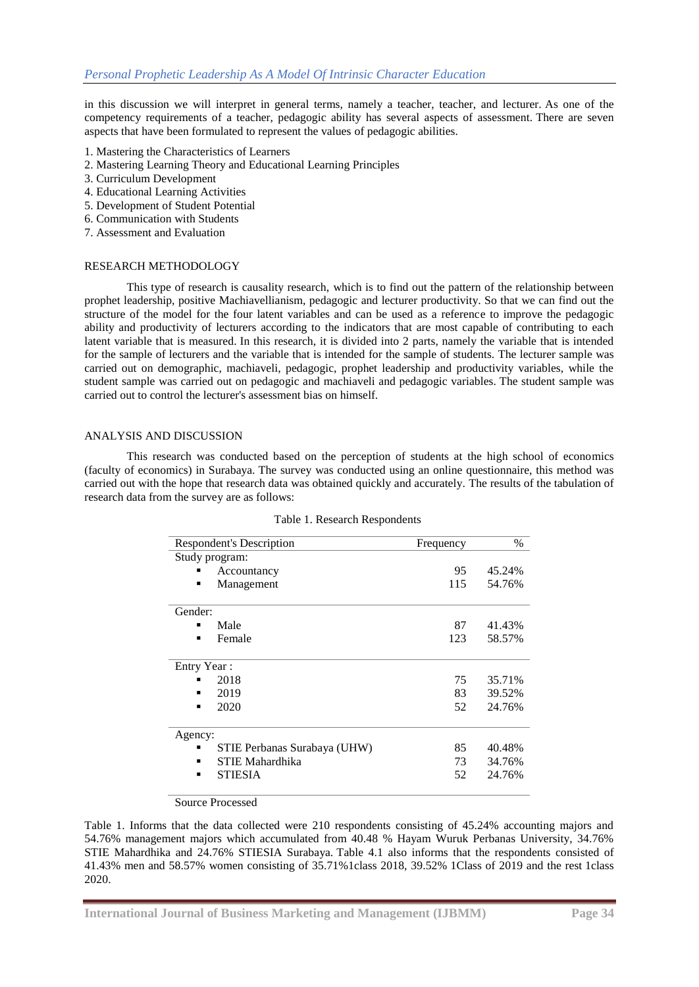in this discussion we will interpret in general terms, namely a teacher, teacher, and lecturer. As one of the competency requirements of a teacher, pedagogic ability has several aspects of assessment. There are seven aspects that have been formulated to represent the values of pedagogic abilities.

- 1. Mastering the Characteristics of Learners
- 2. Mastering Learning Theory and Educational Learning Principles
- 3. Curriculum Development
- 4. Educational Learning Activities
- 5. Development of Student Potential
- 6. Communication with Students
- 7. Assessment and Evaluation

### RESEARCH METHODOLOGY

This type of research is causality research, which is to find out the pattern of the relationship between prophet leadership, positive Machiavellianism, pedagogic and lecturer productivity. So that we can find out the structure of the model for the four latent variables and can be used as a reference to improve the pedagogic ability and productivity of lecturers according to the indicators that are most capable of contributing to each latent variable that is measured. In this research, it is divided into 2 parts, namely the variable that is intended for the sample of lecturers and the variable that is intended for the sample of students. The lecturer sample was carried out on demographic, machiaveli, pedagogic, prophet leadership and productivity variables, while the student sample was carried out on pedagogic and machiaveli and pedagogic variables. The student sample was carried out to control the lecturer's assessment bias on himself.

### ANALYSIS AND DISCUSSION

This research was conducted based on the perception of students at the high school of economics (faculty of economics) in Surabaya. The survey was conducted using an online questionnaire, this method was carried out with the hope that research data was obtained quickly and accurately. The results of the tabulation of research data from the survey are as follows:

| <b>Respondent's Description</b>   | Frequency | $\%$   |
|-----------------------------------|-----------|--------|
| Study program:                    |           |        |
| Accountancy                       | 95        | 45.24% |
| Management<br>п                   | 115       | 54.76% |
| Gender:                           |           |        |
| Male<br>п                         | 87        | 41.43% |
| Female<br>$\blacksquare$          | 123       | 58.57% |
| Entry Year:                       |           |        |
| 2018                              | 75        | 35.71% |
| 2019<br>п                         | 83        | 39.52% |
| 2020<br>٠                         | 52        | 24.76% |
| Agency:                           |           |        |
| STIE Perbanas Surabaya (UHW)<br>٠ | 85        | 40.48% |
| STIE Mahardhika                   | 73        | 34.76% |
| <b>STIESIA</b><br>٠               | 52        | 24.76% |

### Table 1. Research Respondents

Source Processed

Table 1. Informs that the data collected were 210 respondents consisting of 45.24% accounting majors and 54.76% management majors which accumulated from 40.48 % Hayam Wuruk Perbanas University, 34.76% STIE Mahardhika and 24.76% STIESIA Surabaya. Table 4.1 also informs that the respondents consisted of 41.43% men and 58.57% women consisting of 35.71%1class 2018, 39.52% 1Class of 2019 and the rest 1class 2020.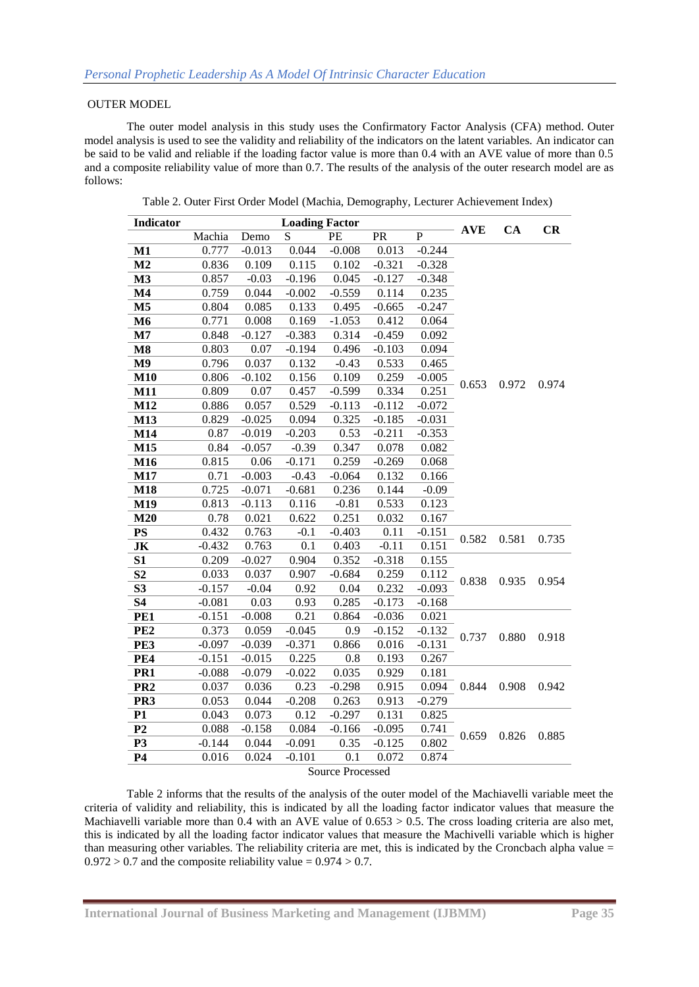### OUTER MODEL

The outer model analysis in this study uses the Confirmatory Factor Analysis (CFA) method. Outer model analysis is used to see the validity and reliability of the indicators on the latent variables. An indicator can be said to be valid and reliable if the loading factor value is more than 0.4 with an AVE value of more than 0.5 and a composite reliability value of more than 0.7. The results of the analysis of the outer research model are as follows:

| Indicator               |          |          | <b>Loading Factor</b> |                  |          |             | <b>AVE</b> | CA    | CR    |  |
|-------------------------|----------|----------|-----------------------|------------------|----------|-------------|------------|-------|-------|--|
|                         | Machia   | Demo     | ${\bf S}$             | PE               | PR       | $\mathbf P$ |            |       |       |  |
| M1                      | 0.777    | $-0.013$ | 0.044                 | $-0.008$         | 0.013    | $-0.244$    |            |       |       |  |
| M <sub>2</sub>          | 0.836    | 0.109    | 0.115                 | 0.102            | $-0.321$ | $-0.328$    |            |       |       |  |
| M3                      | 0.857    | $-0.03$  | $-0.196$              | 0.045            | $-0.127$ | $-0.348$    |            |       |       |  |
| M <sub>4</sub>          | 0.759    | 0.044    | $-0.002$              | $-0.559$         | 0.114    | 0.235       |            |       |       |  |
| M <sub>5</sub>          | 0.804    | 0.085    | 0.133                 | 0.495            | $-0.665$ | $-0.247$    |            |       |       |  |
| M6                      | 0.771    | 0.008    | 0.169                 | $-1.053$         | 0.412    | 0.064       |            |       |       |  |
| M7                      | 0.848    | $-0.127$ | $-0.383$              | 0.314            | $-0.459$ | 0.092       |            |       |       |  |
| $\overline{\text{M8}}$  | 0.803    | 0.07     | $-0.194$              | 0.496            | $-0.103$ | 0.094       |            |       |       |  |
| M9                      | 0.796    | 0.037    | 0.132                 | $-0.43$          | 0.533    | 0.465       |            |       |       |  |
| <b>M10</b>              | 0.806    | $-0.102$ | 0.156                 | 0.109            | 0.259    | $-0.005$    | 0.653      | 0.972 | 0.974 |  |
| M11                     | 0.809    | 0.07     | 0.457                 | $-0.599$         | 0.334    | 0.251       |            |       |       |  |
| M12                     | 0.886    | 0.057    | 0.529                 | $-0.113$         | $-0.112$ | $-0.072$    |            |       |       |  |
| M13                     | 0.829    | $-0.025$ | 0.094                 | 0.325            | $-0.185$ | $-0.031$    |            |       |       |  |
| M14                     | 0.87     | $-0.019$ | $-0.203$              | 0.53             | $-0.211$ | $-0.353$    |            |       |       |  |
| M15                     | 0.84     | $-0.057$ | $-0.39$               | 0.347            | 0.078    | 0.082       |            |       |       |  |
| M16                     | 0.815    | 0.06     | $-0.171$              | 0.259            | $-0.269$ | 0.068       |            |       |       |  |
| M17                     | 0.71     | $-0.003$ | $-0.43$               | $-0.064$         | 0.132    | 0.166       |            |       |       |  |
| M18                     | 0.725    | $-0.071$ | $-0.681$              | 0.236            | 0.144    | $-0.09$     |            |       |       |  |
| M19                     | 0.813    | $-0.113$ | 0.116                 | $-0.81$          | 0.533    | 0.123       |            |       |       |  |
| M20                     | 0.78     | 0.021    | 0.622                 | 0.251            | 0.032    | 0.167       |            |       |       |  |
| <b>PS</b>               | 0.432    | 0.763    | $-0.1$                | $-0.403$         | 0.11     | $-0.151$    | 0.582      | 0.581 | 0.735 |  |
| JK                      | $-0.432$ | 0.763    | 0.1                   | 0.403            | $-0.11$  | 0.151       |            |       |       |  |
| S1                      | 0.209    | $-0.027$ | 0.904                 | 0.352            | $-0.318$ | 0.155       |            | 0.935 |       |  |
| S <sub>2</sub>          | 0.033    | 0.037    | 0.907                 | $-0.684$         | 0.259    | 0.112       | 0.838      |       | 0.954 |  |
| S <sub>3</sub>          | $-0.157$ | $-0.04$  | 0.92                  | 0.04             | 0.232    | $-0.093$    |            |       |       |  |
| <b>S4</b>               | $-0.081$ | 0.03     | 0.93                  | 0.285            | $-0.173$ | $-0.168$    |            |       |       |  |
| PE1                     | $-0.151$ | $-0.008$ | 0.21                  | 0.864            | $-0.036$ | 0.021       |            |       |       |  |
| PE <sub>2</sub>         | 0.373    | 0.059    | $-0.045$              | 0.9              | $-0.152$ | $-0.132$    | 0.737      | 0.880 | 0.918 |  |
| PE3                     | $-0.097$ | $-0.039$ | $-0.371$              | 0.866            | 0.016    | $-0.131$    |            |       |       |  |
| PE4                     | $-0.151$ | $-0.015$ | 0.225                 | 0.8              | 0.193    | 0.267       |            |       |       |  |
| PR <sub>1</sub>         | $-0.088$ | $-0.079$ | $-0.022$              | 0.035            | 0.929    | 0.181       |            |       |       |  |
| PR <sub>2</sub>         | 0.037    | 0.036    | 0.23                  | $-0.298$         | 0.915    | 0.094       | 0.844      | 0.908 | 0.942 |  |
| PR <sub>3</sub>         | 0.053    | 0.044    | $-0.208$              | 0.263            | 0.913    | $-0.279$    |            |       |       |  |
| P1                      | 0.043    | 0.073    | 0.12                  | $-0.297$         | 0.131    | 0.825       |            |       |       |  |
| $\overline{P2}$         | 0.088    | $-0.158$ | 0.084                 | $-0.166$         | $-0.095$ | 0.741       | 0.659      | 0.826 | 0.885 |  |
| P <sub>3</sub>          | $-0.144$ | 0.044    | $-0.091$              | 0.35             | $-0.125$ | 0.802       |            |       |       |  |
| <b>P4</b>               | 0.016    | 0.024    | $-0.101$              | $\overline{0.1}$ | 0.072    | 0.874       |            |       |       |  |
| <b>Source Processed</b> |          |          |                       |                  |          |             |            |       |       |  |

Table 2. Outer First Order Model (Machia, Demography, Lecturer Achievement Index)

Table 2 informs that the results of the analysis of the outer model of the Machiavelli variable meet the criteria of validity and reliability, this is indicated by all the loading factor indicator values that measure the Machiavelli variable more than  $0.4$  with an AVE value of  $0.653 > 0.5$ . The cross loading criteria are also met, this is indicated by all the loading factor indicator values that measure the Machivelli variable which is higher than measuring other variables. The reliability criteria are met, this is indicated by the Croncbach alpha value =  $0.972 > 0.7$  and the composite reliability value =  $0.974 > 0.7$ .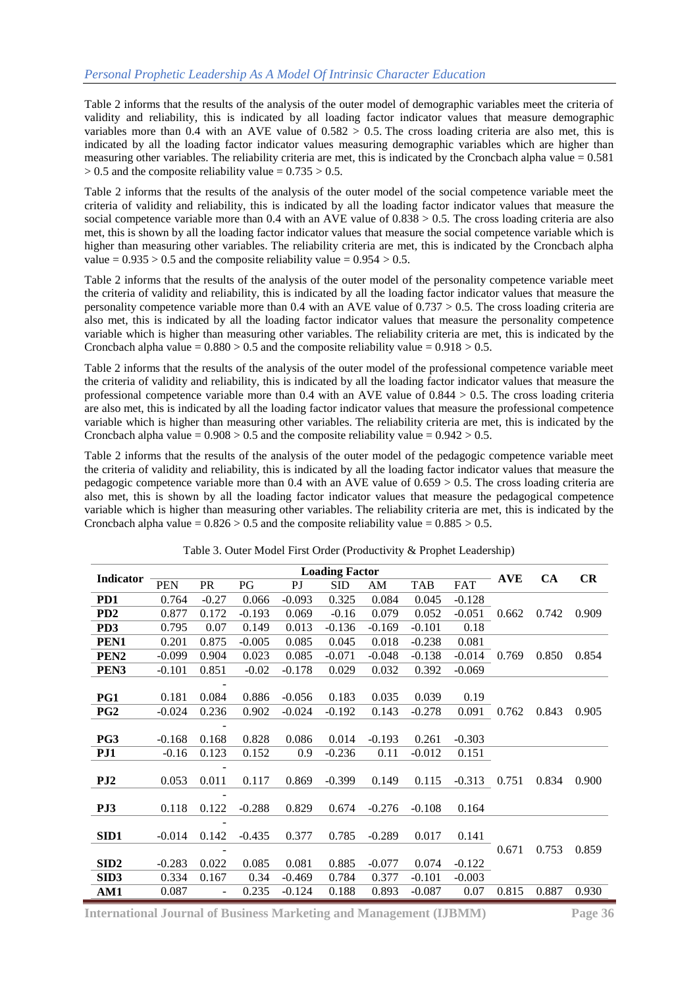Table 2 informs that the results of the analysis of the outer model of demographic variables meet the criteria of validity and reliability, this is indicated by all loading factor indicator values that measure demographic variables more than 0.4 with an AVE value of  $0.582 > 0.5$ . The cross loading criteria are also met, this is indicated by all the loading factor indicator values measuring demographic variables which are higher than measuring other variables. The reliability criteria are met, this is indicated by the Croncbach alpha value  $= 0.581$  $> 0.5$  and the composite reliability value =  $0.735 > 0.5$ .

Table 2 informs that the results of the analysis of the outer model of the social competence variable meet the criteria of validity and reliability, this is indicated by all the loading factor indicator values that measure the social competence variable more than 0.4 with an AVE value of 0.838 > 0.5. The cross loading criteria are also met, this is shown by all the loading factor indicator values that measure the social competence variable which is higher than measuring other variables. The reliability criteria are met, this is indicated by the Croncbach alpha value  $= 0.935 > 0.5$  and the composite reliability value  $= 0.954 > 0.5$ .

Table 2 informs that the results of the analysis of the outer model of the personality competence variable meet the criteria of validity and reliability, this is indicated by all the loading factor indicator values that measure the personality competence variable more than 0.4 with an AVE value of 0.737 > 0.5. The cross loading criteria are also met, this is indicated by all the loading factor indicator values that measure the personality competence variable which is higher than measuring other variables. The reliability criteria are met, this is indicated by the Croncbach alpha value =  $0.880 > 0.5$  and the composite reliability value =  $0.918 > 0.5$ .

Table 2 informs that the results of the analysis of the outer model of the professional competence variable meet the criteria of validity and reliability, this is indicated by all the loading factor indicator values that measure the professional competence variable more than 0.4 with an AVE value of  $0.844 > 0.5$ . The cross loading criteria are also met, this is indicated by all the loading factor indicator values that measure the professional competence variable which is higher than measuring other variables. The reliability criteria are met, this is indicated by the Croncbach alpha value =  $0.908 > 0.5$  and the composite reliability value =  $0.942 > 0.5$ .

Table 2 informs that the results of the analysis of the outer model of the pedagogic competence variable meet the criteria of validity and reliability, this is indicated by all the loading factor indicator values that measure the pedagogic competence variable more than 0.4 with an AVE value of  $0.659 > 0.5$ . The cross loading criteria are also met, this is shown by all the loading factor indicator values that measure the pedagogical competence variable which is higher than measuring other variables. The reliability criteria are met, this is indicated by the Croncbach alpha value =  $0.826 > 0.5$  and the composite reliability value =  $0.885 > 0.5$ .

| Indicator        |            |           |          |          | <b>Loading Factor</b> |          |            |            | <b>AVE</b> | <b>CA</b> | CR    |
|------------------|------------|-----------|----------|----------|-----------------------|----------|------------|------------|------------|-----------|-------|
|                  | <b>PEN</b> | <b>PR</b> | PG       | PI       | SID                   | AM       | <b>TAB</b> | <b>FAT</b> |            |           |       |
| PD1              | 0.764      | $-0.27$   | 0.066    | $-0.093$ | 0.325                 | 0.084    | 0.045      | $-0.128$   |            |           |       |
| PD <sub>2</sub>  | 0.877      | 0.172     | $-0.193$ | 0.069    | $-0.16$               | 0.079    | 0.052      | $-0.051$   | 0.662      | 0.742     | 0.909 |
| PD <sub>3</sub>  | 0.795      | 0.07      | 0.149    | 0.013    | $-0.136$              | $-0.169$ | $-0.101$   | 0.18       |            |           |       |
| PEN <sub>1</sub> | 0.201      | 0.875     | $-0.005$ | 0.085    | 0.045                 | 0.018    | $-0.238$   | 0.081      |            |           |       |
| PEN <sub>2</sub> | $-0.099$   | 0.904     | 0.023    | 0.085    | $-0.071$              | $-0.048$ | $-0.138$   | $-0.014$   | 0.769      | 0.850     | 0.854 |
| PEN <sub>3</sub> | $-0.101$   | 0.851     | $-0.02$  | $-0.178$ | 0.029                 | 0.032    | 0.392      | $-0.069$   |            |           |       |
|                  |            |           |          |          |                       |          |            |            |            |           |       |
| PG1              | 0.181      | 0.084     | 0.886    | $-0.056$ | 0.183                 | 0.035    | 0.039      | 0.19       |            |           |       |
| PG <sub>2</sub>  | $-0.024$   | 0.236     | 0.902    | $-0.024$ | $-0.192$              | 0.143    | $-0.278$   | 0.091      | 0.762      | 0.843     | 0.905 |
|                  |            |           |          |          |                       |          |            |            |            |           |       |
| PG3              | $-0.168$   | 0.168     | 0.828    | 0.086    | 0.014                 | $-0.193$ | 0.261      | $-0.303$   |            |           |       |
| PJ1              | $-0.16$    | 0.123     | 0.152    | 0.9      | $-0.236$              | 0.11     | $-0.012$   | 0.151      |            |           |       |
|                  |            |           |          |          |                       |          |            |            |            |           |       |
| PJ <sub>2</sub>  | 0.053      | 0.011     | 0.117    | 0.869    | $-0.399$              | 0.149    | 0.115      | $-0.313$   | 0.751      | 0.834     | 0.900 |
|                  |            |           |          |          |                       |          |            |            |            |           |       |
| PJ3              | 0.118      | 0.122     | $-0.288$ | 0.829    | 0.674                 | $-0.276$ | $-0.108$   | 0.164      |            |           |       |
|                  |            |           |          |          |                       |          |            |            |            |           |       |
| SID1             | $-0.014$   | 0.142     | $-0.435$ | 0.377    | 0.785                 | $-0.289$ | 0.017      | 0.141      |            |           |       |
|                  |            |           |          |          |                       |          |            |            | 0.671      | 0.753     | 0.859 |
| SID <sub>2</sub> | $-0.283$   | 0.022     | 0.085    | 0.081    | 0.885                 | $-0.077$ | 0.074      | $-0.122$   |            |           |       |
| SID <sub>3</sub> | 0.334      | 0.167     | 0.34     | $-0.469$ | 0.784                 | 0.377    | $-0.101$   | $-0.003$   |            |           |       |
| AM1              | 0.087      |           | 0.235    | $-0.124$ | 0.188                 | 0.893    | $-0.087$   | 0.07       | 0.815      | 0.887     | 0.930 |

Table 3. Outer Model First Order (Productivity & Prophet Leadership)

**International Journal of Business Marketing and Management (IJBMM) Page 36**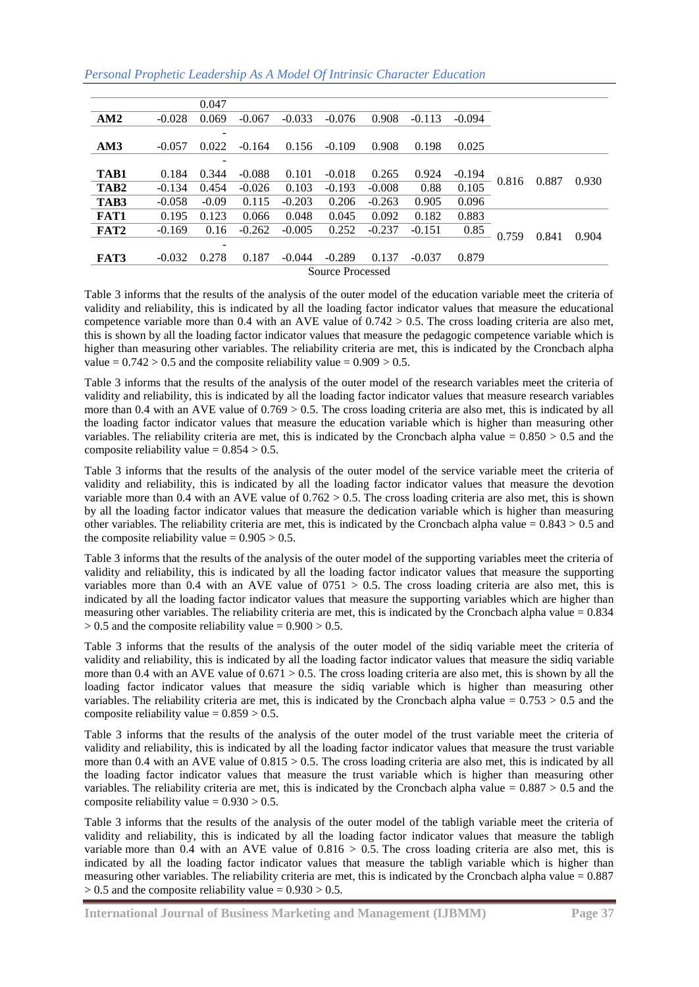| Personal Prophetic Leadership As A Model Of Intrinsic Character Education |  |  |  |  |
|---------------------------------------------------------------------------|--|--|--|--|
|---------------------------------------------------------------------------|--|--|--|--|

|      |                  | 0.047           |          |          |          |          |          |          |       |       |       |       |
|------|------------------|-----------------|----------|----------|----------|----------|----------|----------|-------|-------|-------|-------|
| AM2  | $-0.028$         | 0.069           | $-0.067$ | $-0.033$ | $-0.076$ | 0.908    | $-0.113$ | $-0.094$ |       |       |       |       |
|      |                  | $\qquad \qquad$ |          |          |          |          |          |          |       |       |       |       |
| AM3  | $-0.057$         | 0.022           | $-0.164$ | 0.156    | $-0.109$ | 0.908    | 0.198    | 0.025    |       |       |       |       |
|      |                  | $\qquad \qquad$ |          |          |          |          |          |          |       |       |       |       |
| TAB1 | 0.184            | 0.344           | $-0.088$ | 0.101    | $-0.018$ | 0.265    | 0.924    | $-0.194$ |       |       |       |       |
| TAB2 | $-0.134$         | 0.454           | $-0.026$ | 0.103    | $-0.193$ | $-0.008$ | 0.88     | 0.105    | 0.816 |       | 0.887 | 0.930 |
| TAB3 | $-0.058$         | $-0.09$         | 0.115    | $-0.203$ | 0.206    | $-0.263$ | 0.905    | 0.096    |       |       |       |       |
| FAT1 | 0.195            | 0.123           | 0.066    | 0.048    | 0.045    | 0.092    | 0.182    | 0.883    |       |       |       |       |
| FAT2 | $-0.169$         | 0.16            | $-0.262$ | $-0.005$ | 0.252    | $-0.237$ | $-0.151$ | 0.85     | 0.759 | 0.841 | 0.904 |       |
|      |                  | $\qquad \qquad$ |          |          |          |          |          |          |       |       |       |       |
| FAT3 | $-0.032$         | 0.278           | 0.187    | $-0.044$ | $-0.289$ | 0.137    | $-0.037$ | 0.879    |       |       |       |       |
|      | Source Processed |                 |          |          |          |          |          |          |       |       |       |       |

Table 3 informs that the results of the analysis of the outer model of the education variable meet the criteria of validity and reliability, this is indicated by all the loading factor indicator values that measure the educational competence variable more than 0.4 with an AVE value of  $0.742 > 0.5$ . The cross loading criteria are also met, this is shown by all the loading factor indicator values that measure the pedagogic competence variable which is higher than measuring other variables. The reliability criteria are met, this is indicated by the Croncbach alpha value  $= 0.742 > 0.5$  and the composite reliability value  $= 0.909 > 0.5$ .

Table 3 informs that the results of the analysis of the outer model of the research variables meet the criteria of validity and reliability, this is indicated by all the loading factor indicator values that measure research variables more than 0.4 with an AVE value of  $0.769 > 0.5$ . The cross loading criteria are also met, this is indicated by all the loading factor indicator values that measure the education variable which is higher than measuring other variables. The reliability criteria are met, this is indicated by the Croncbach alpha value =  $0.850 > 0.5$  and the composite reliability value  $= 0.854 > 0.5$ .

Table 3 informs that the results of the analysis of the outer model of the service variable meet the criteria of validity and reliability, this is indicated by all the loading factor indicator values that measure the devotion variable more than 0.4 with an AVE value of  $0.762 > 0.5$ . The cross loading criteria are also met, this is shown by all the loading factor indicator values that measure the dedication variable which is higher than measuring other variables. The reliability criteria are met, this is indicated by the Croncbach alpha value  $= 0.843 > 0.5$  and the composite reliability value  $= 0.905 > 0.5$ .

Table 3 informs that the results of the analysis of the outer model of the supporting variables meet the criteria of validity and reliability, this is indicated by all the loading factor indicator values that measure the supporting variables more than 0.4 with an AVE value of  $0.0751 > 0.5$ . The cross loading criteria are also met, this is indicated by all the loading factor indicator values that measure the supporting variables which are higher than measuring other variables. The reliability criteria are met, this is indicated by the Croncbach alpha value  $= 0.834$  $> 0.5$  and the composite reliability value =  $0.900 > 0.5$ .

Table 3 informs that the results of the analysis of the outer model of the sidiq variable meet the criteria of validity and reliability, this is indicated by all the loading factor indicator values that measure the sidiq variable more than 0.4 with an AVE value of  $0.671 > 0.5$ . The cross loading criteria are also met, this is shown by all the loading factor indicator values that measure the sidiq variable which is higher than measuring other variables. The reliability criteria are met, this is indicated by the Croncbach alpha value =  $0.753 > 0.5$  and the composite reliability value  $= 0.859 > 0.5$ .

Table 3 informs that the results of the analysis of the outer model of the trust variable meet the criteria of validity and reliability, this is indicated by all the loading factor indicator values that measure the trust variable more than 0.4 with an AVE value of  $0.815 > 0.5$ . The cross loading criteria are also met, this is indicated by all the loading factor indicator values that measure the trust variable which is higher than measuring other variables. The reliability criteria are met, this is indicated by the Croncbach alpha value =  $0.887 > 0.5$  and the composite reliability value  $= 0.930 > 0.5$ .

Table 3 informs that the results of the analysis of the outer model of the tabligh variable meet the criteria of validity and reliability, this is indicated by all the loading factor indicator values that measure the tabligh variable more than  $0.4$  with an AVE value of  $0.816 > 0.5$ . The cross loading criteria are also met, this is indicated by all the loading factor indicator values that measure the tabligh variable which is higher than measuring other variables. The reliability criteria are met, this is indicated by the Croncbach alpha value  $= 0.887$  $> 0.5$  and the composite reliability value =  $0.930 > 0.5$ .

**International Journal of Business Marketing and Management (IJBMM) Page 37**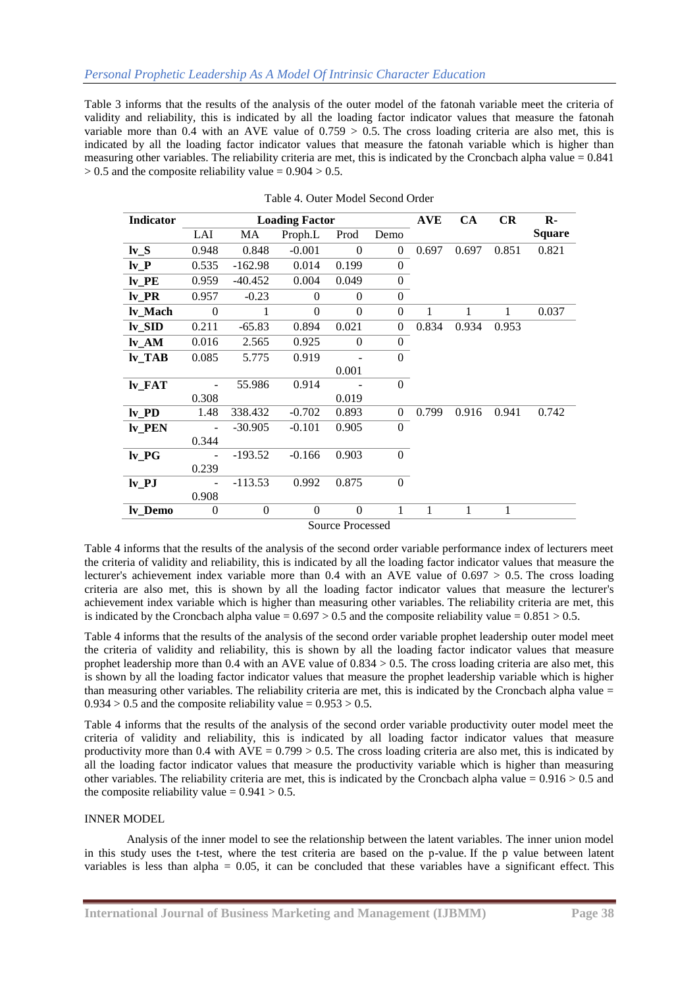Table 3 informs that the results of the analysis of the outer model of the fatonah variable meet the criteria of validity and reliability, this is indicated by all the loading factor indicator values that measure the fatonah variable more than 0.4 with an AVE value of  $0.759 > 0.5$ . The cross loading criteria are also met, this is indicated by all the loading factor indicator values that measure the fatonah variable which is higher than measuring other variables. The reliability criteria are met, this is indicated by the Croncbach alpha value  $= 0.841$  $> 0.5$  and the composite reliability value =  $0.904 > 0.5$ .

| Indicator           | <b>Loading Factor</b> |              |          |                         |                  |       | <b>CA</b> | <b>CR</b> | $\mathbf{R}$  |
|---------------------|-----------------------|--------------|----------|-------------------------|------------------|-------|-----------|-----------|---------------|
|                     | LAI                   | MA           | Proph.L  | Prod                    | Demo             |       |           |           | <b>Square</b> |
| $Iv_S$              | 0.948                 | 0.848        | $-0.001$ | $\theta$                | $\mathbf{0}$     | 0.697 | 0.697     | 0.851     | 0.821         |
| $Iv_P$              | 0.535                 | $-162.98$    | 0.014    | 0.199                   | $\boldsymbol{0}$ |       |           |           |               |
| $Iv$ $PE$           | 0.959                 | $-40.452$    | 0.004    | 0.049                   | $\boldsymbol{0}$ |       |           |           |               |
| lv PR               | 0.957                 | $-0.23$      | $\theta$ | $\theta$                | $\Omega$         |       |           |           |               |
| lv Mach             | $\theta$              |              | $\theta$ | $\Omega$                | $\mathbf{0}$     | 1     | 1         | 1         | 0.037         |
| $Iv_SID$            | 0.211                 | $-65.83$     | 0.894    | 0.021                   | $\Omega$         | 0.834 | 0.934     | 0.953     |               |
| $Iv_AM$             | 0.016                 | 2.565        | 0.925    | $\Omega$                | $\mathbf{0}$     |       |           |           |               |
| $Iv_TAB$            | 0.085                 | 5.775        | 0.919    |                         | $\Omega$         |       |           |           |               |
|                     |                       |              |          | 0.001                   |                  |       |           |           |               |
| $Iv_FAT$            |                       | 55.986       | 0.914    |                         | $\Omega$         |       |           |           |               |
|                     | 0.308                 |              |          | 0.019                   |                  |       |           |           |               |
| $Iv$ <sub>-PD</sub> | 1.48                  | 338.432      | $-0.702$ | 0.893                   | $\mathbf{0}$     | 0.799 | 0.916     | 0.941     | 0.742         |
| lv_PEN              |                       | $-30.905$    | $-0.101$ | 0.905                   | $\Omega$         |       |           |           |               |
|                     | 0.344                 |              |          |                         |                  |       |           |           |               |
| $Iv_P G$            |                       | $-193.52$    | $-0.166$ | 0.903                   | $\Omega$         |       |           |           |               |
|                     | 0.239                 |              |          |                         |                  |       |           |           |               |
| $Iv$ $PI$           |                       | $-113.53$    | 0.992    | 0.875                   | $\overline{0}$   |       |           |           |               |
|                     | 0.908                 |              |          |                         |                  |       |           |           |               |
| ly Demo             | $\overline{0}$        | $\mathbf{0}$ | $\theta$ | $\Omega$                | 1                | 1     | 1         | 1         |               |
|                     |                       |              |          | <b>Source Processed</b> |                  |       |           |           |               |

| Table 4. Outer Model Second Order |  |  |
|-----------------------------------|--|--|
|                                   |  |  |

Table 4 informs that the results of the analysis of the second order variable performance index of lecturers meet the criteria of validity and reliability, this is indicated by all the loading factor indicator values that measure the lecturer's achievement index variable more than  $0.4$  with an AVE value of  $0.697 > 0.5$ . The cross loading criteria are also met, this is shown by all the loading factor indicator values that measure the lecturer's achievement index variable which is higher than measuring other variables. The reliability criteria are met, this is indicated by the Croncbach alpha value =  $0.697 > 0.5$  and the composite reliability value =  $0.851 > 0.5$ .

Table 4 informs that the results of the analysis of the second order variable prophet leadership outer model meet the criteria of validity and reliability, this is shown by all the loading factor indicator values that measure prophet leadership more than 0.4 with an AVE value of 0.834 > 0.5. The cross loading criteria are also met, this is shown by all the loading factor indicator values that measure the prophet leadership variable which is higher than measuring other variables. The reliability criteria are met, this is indicated by the Croncbach alpha value  $=$  $0.934 > 0.5$  and the composite reliability value =  $0.953 > 0.5$ .

Table 4 informs that the results of the analysis of the second order variable productivity outer model meet the criteria of validity and reliability, this is indicated by all loading factor indicator values that measure productivity more than 0.4 with  $AVE = 0.799 > 0.5$ . The cross loading criteria are also met, this is indicated by all the loading factor indicator values that measure the productivity variable which is higher than measuring other variables. The reliability criteria are met, this is indicated by the Croncbach alpha value =  $0.916 > 0.5$  and the composite reliability value  $= 0.941 > 0.5$ .

#### INNER MODEL

Analysis of the inner model to see the relationship between the latent variables. The inner union model in this study uses the t-test, where the test criteria are based on the p-value. If the p value between latent variables is less than alpha  $= 0.05$ , it can be concluded that these variables have a significant effect. This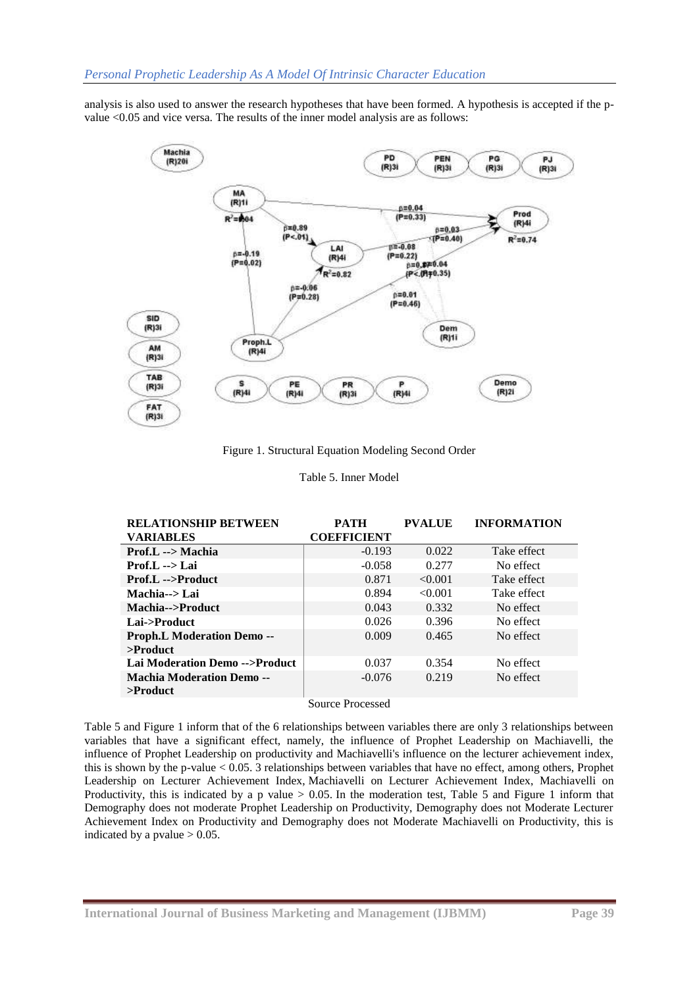analysis is also used to answer the research hypotheses that have been formed. A hypothesis is accepted if the pvalue <0.05 and vice versa. The results of the inner model analysis are as follows:



Figure 1. Structural Equation Modeling Second Order

| Table 5. Inner Model |  |  |
|----------------------|--|--|
|----------------------|--|--|

| <b>RELATIONSHIP BETWEEN</b>                     | <b>PATH</b>        | <b>PVALUE</b> | <b>INFORMATION</b> |
|-------------------------------------------------|--------------------|---------------|--------------------|
| <b>VARIABLES</b>                                | <b>COEFFICIENT</b> |               |                    |
| Prof.L --> Machia                               | $-0.193$           | 0.022         | Take effect        |
| $Prot.L \longrightarrow Lai$                    | $-0.058$           | 0.277         | No effect          |
| <b>Prof.L</b> -->Product                        | 0.871              | < 0.001       | Take effect        |
| Machia--> Lai                                   | 0.894              | < 0.001       | Take effect        |
| Machia-->Product                                | 0.043              | 0.332         | No effect          |
| Lai->Product                                    | 0.026              | 0.396         | No effect          |
| <b>Proph.L Moderation Demo --</b>               | 0.009              | 0.465         | No effect          |
| $>$ Product                                     |                    |               |                    |
| Lai Moderation Demo -->Product                  | 0.037              | 0.354         | No effect          |
| <b>Machia Moderation Demo --</b><br>$>$ Product | $-0.076$           | 0.219         | No effect          |
|                                                 |                    |               |                    |

Source Processed

Table 5 and Figure 1 inform that of the 6 relationships between variables there are only 3 relationships between variables that have a significant effect, namely, the influence of Prophet Leadership on Machiavelli, the influence of Prophet Leadership on productivity and Machiavelli's influence on the lecturer achievement index, this is shown by the p-value < 0.05. 3 relationships between variables that have no effect, among others, Prophet Leadership on Lecturer Achievement Index, Machiavelli on Lecturer Achievement Index, Machiavelli on Productivity, this is indicated by a p value > 0.05. In the moderation test, Table 5 and Figure 1 inform that Demography does not moderate Prophet Leadership on Productivity, Demography does not Moderate Lecturer Achievement Index on Productivity and Demography does not Moderate Machiavelli on Productivity, this is indicated by a pvalue  $> 0.05$ .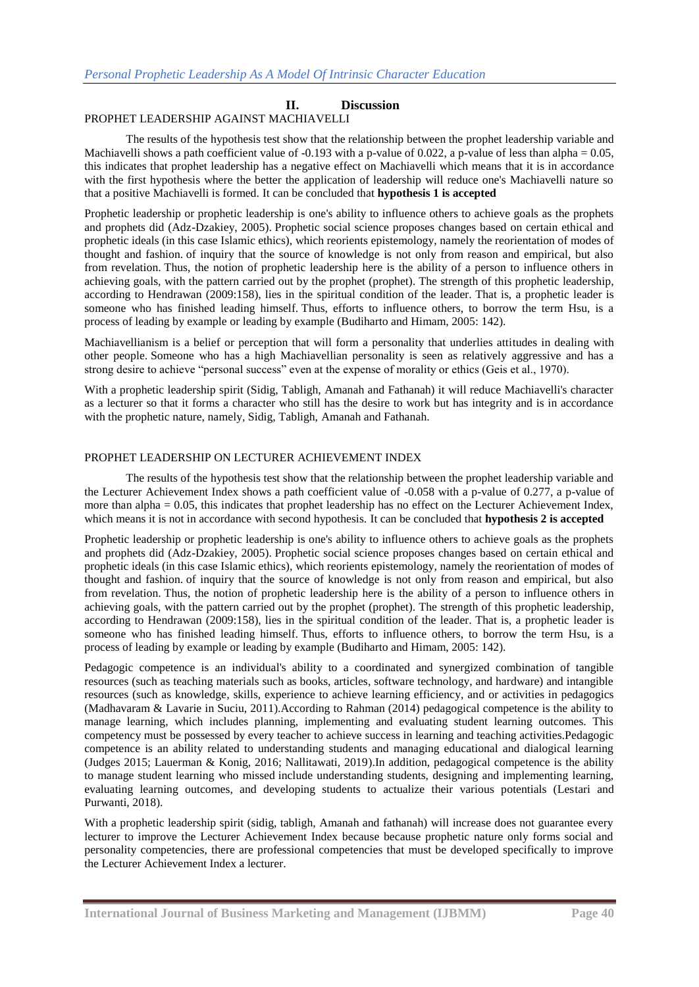# **II. Discussion**

### PROPHET LEADERSHIP AGAINST MACHIAVELLI

The results of the hypothesis test show that the relationship between the prophet leadership variable and Machiavelli shows a path coefficient value of -0.193 with a p-value of 0.022, a p-value of less than alpha =  $0.05$ , this indicates that prophet leadership has a negative effect on Machiavelli which means that it is in accordance with the first hypothesis where the better the application of leadership will reduce one's Machiavelli nature so that a positive Machiavelli is formed. It can be concluded that **hypothesis 1 is accepted**

Prophetic leadership or prophetic leadership is one's ability to influence others to achieve goals as the prophets and prophets did (Adz-Dzakiey, 2005). Prophetic social science proposes changes based on certain ethical and prophetic ideals (in this case Islamic ethics), which reorients epistemology, namely the reorientation of modes of thought and fashion. of inquiry that the source of knowledge is not only from reason and empirical, but also from revelation. Thus, the notion of prophetic leadership here is the ability of a person to influence others in achieving goals, with the pattern carried out by the prophet (prophet). The strength of this prophetic leadership, according to Hendrawan (2009:158), lies in the spiritual condition of the leader. That is, a prophetic leader is someone who has finished leading himself. Thus, efforts to influence others, to borrow the term Hsu, is a process of leading by example or leading by example (Budiharto and Himam, 2005: 142).

Machiavellianism is a belief or perception that will form a personality that underlies attitudes in dealing with other people. Someone who has a high Machiavellian personality is seen as relatively aggressive and has a strong desire to achieve "personal success" even at the expense of morality or ethics (Geis et al., 1970).

With a prophetic leadership spirit (Sidig, Tabligh, Amanah and Fathanah) it will reduce Machiavelli's character as a lecturer so that it forms a character who still has the desire to work but has integrity and is in accordance with the prophetic nature, namely, Sidig, Tabligh, Amanah and Fathanah.

## PROPHET LEADERSHIP ON LECTURER ACHIEVEMENT INDEX

The results of the hypothesis test show that the relationship between the prophet leadership variable and the Lecturer Achievement Index shows a path coefficient value of -0.058 with a p-value of 0.277, a p-value of more than alpha = 0.05, this indicates that prophet leadership has no effect on the Lecturer Achievement Index, which means it is not in accordance with second hypothesis. It can be concluded that **hypothesis 2 is accepted**

Prophetic leadership or prophetic leadership is one's ability to influence others to achieve goals as the prophets and prophets did (Adz-Dzakiey, 2005). Prophetic social science proposes changes based on certain ethical and prophetic ideals (in this case Islamic ethics), which reorients epistemology, namely the reorientation of modes of thought and fashion. of inquiry that the source of knowledge is not only from reason and empirical, but also from revelation. Thus, the notion of prophetic leadership here is the ability of a person to influence others in achieving goals, with the pattern carried out by the prophet (prophet). The strength of this prophetic leadership, according to Hendrawan (2009:158), lies in the spiritual condition of the leader. That is, a prophetic leader is someone who has finished leading himself. Thus, efforts to influence others, to borrow the term Hsu, is a process of leading by example or leading by example (Budiharto and Himam, 2005: 142).

Pedagogic competence is an individual's ability to a coordinated and synergized combination of tangible resources (such as teaching materials such as books, articles, software technology, and hardware) and intangible resources (such as knowledge, skills, experience to achieve learning efficiency, and or activities in pedagogics (Madhavaram & Lavarie in Suciu, 2011).According to Rahman (2014) pedagogical competence is the ability to manage learning, which includes planning, implementing and evaluating student learning outcomes. This competency must be possessed by every teacher to achieve success in learning and teaching activities.Pedagogic competence is an ability related to understanding students and managing educational and dialogical learning (Judges 2015; Lauerman & Konig, 2016; Nallitawati, 2019).In addition, pedagogical competence is the ability to manage student learning who missed include understanding students, designing and implementing learning, evaluating learning outcomes, and developing students to actualize their various potentials (Lestari and Purwanti, 2018).

With a prophetic leadership spirit (sidig, tabligh, Amanah and fathanah) will increase does not guarantee every lecturer to improve the Lecturer Achievement Index because because prophetic nature only forms social and personality competencies, there are professional competencies that must be developed specifically to improve the Lecturer Achievement Index a lecturer.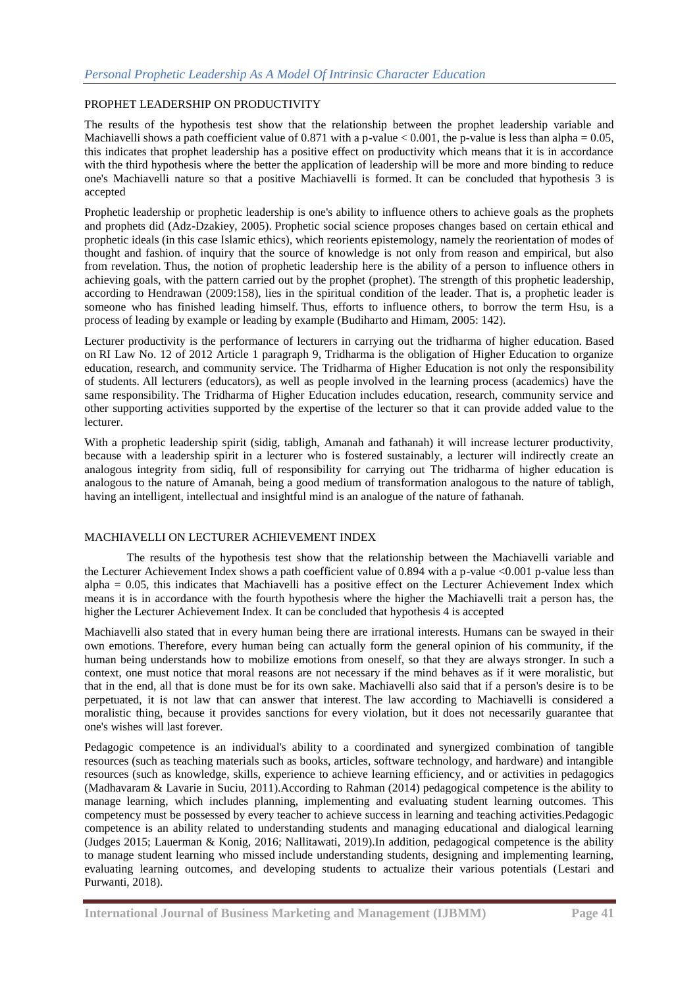### PROPHET LEADERSHIP ON PRODUCTIVITY

The results of the hypothesis test show that the relationship between the prophet leadership variable and Machiavelli shows a path coefficient value of 0.871 with a p-value  $< 0.001$ , the p-value is less than alpha = 0.05, this indicates that prophet leadership has a positive effect on productivity which means that it is in accordance with the third hypothesis where the better the application of leadership will be more and more binding to reduce one's Machiavelli nature so that a positive Machiavelli is formed. It can be concluded that hypothesis 3 is accepted

Prophetic leadership or prophetic leadership is one's ability to influence others to achieve goals as the prophets and prophets did (Adz-Dzakiey, 2005). Prophetic social science proposes changes based on certain ethical and prophetic ideals (in this case Islamic ethics), which reorients epistemology, namely the reorientation of modes of thought and fashion. of inquiry that the source of knowledge is not only from reason and empirical, but also from revelation. Thus, the notion of prophetic leadership here is the ability of a person to influence others in achieving goals, with the pattern carried out by the prophet (prophet). The strength of this prophetic leadership, according to Hendrawan (2009:158), lies in the spiritual condition of the leader. That is, a prophetic leader is someone who has finished leading himself. Thus, efforts to influence others, to borrow the term Hsu, is a process of leading by example or leading by example (Budiharto and Himam, 2005: 142).

Lecturer productivity is the performance of lecturers in carrying out the tridharma of higher education. Based on RI Law No. 12 of 2012 Article 1 paragraph 9, Tridharma is the obligation of Higher Education to organize education, research, and community service. The Tridharma of Higher Education is not only the responsibility of students. All lecturers (educators), as well as people involved in the learning process (academics) have the same responsibility. The Tridharma of Higher Education includes education, research, community service and other supporting activities supported by the expertise of the lecturer so that it can provide added value to the lecturer.

With a prophetic leadership spirit (sidig, tabligh, Amanah and fathanah) it will increase lecturer productivity, because with a leadership spirit in a lecturer who is fostered sustainably, a lecturer will indirectly create an analogous integrity from sidiq, full of responsibility for carrying out The tridharma of higher education is analogous to the nature of Amanah, being a good medium of transformation analogous to the nature of tabligh, having an intelligent, intellectual and insightful mind is an analogue of the nature of fathanah.

### MACHIAVELLI ON LECTURER ACHIEVEMENT INDEX

The results of the hypothesis test show that the relationship between the Machiavelli variable and the Lecturer Achievement Index shows a path coefficient value of 0.894 with a p-value  $\langle 0.001 \text{ p-value } \text{less than}$ alpha = 0.05, this indicates that Machiavelli has a positive effect on the Lecturer Achievement Index which means it is in accordance with the fourth hypothesis where the higher the Machiavelli trait a person has, the higher the Lecturer Achievement Index. It can be concluded that hypothesis 4 is accepted

Machiavelli also stated that in every human being there are irrational interests. Humans can be swayed in their own emotions. Therefore, every human being can actually form the general opinion of his community, if the human being understands how to mobilize emotions from oneself, so that they are always stronger. In such a context, one must notice that moral reasons are not necessary if the mind behaves as if it were moralistic, but that in the end, all that is done must be for its own sake. Machiavelli also said that if a person's desire is to be perpetuated, it is not law that can answer that interest. The law according to Machiavelli is considered a moralistic thing, because it provides sanctions for every violation, but it does not necessarily guarantee that one's wishes will last forever.

Pedagogic competence is an individual's ability to a coordinated and synergized combination of tangible resources (such as teaching materials such as books, articles, software technology, and hardware) and intangible resources (such as knowledge, skills, experience to achieve learning efficiency, and or activities in pedagogics (Madhavaram & Lavarie in Suciu, 2011).According to Rahman (2014) pedagogical competence is the ability to manage learning, which includes planning, implementing and evaluating student learning outcomes. This competency must be possessed by every teacher to achieve success in learning and teaching activities.Pedagogic competence is an ability related to understanding students and managing educational and dialogical learning (Judges 2015; Lauerman & Konig, 2016; Nallitawati, 2019).In addition, pedagogical competence is the ability to manage student learning who missed include understanding students, designing and implementing learning, evaluating learning outcomes, and developing students to actualize their various potentials (Lestari and Purwanti, 2018).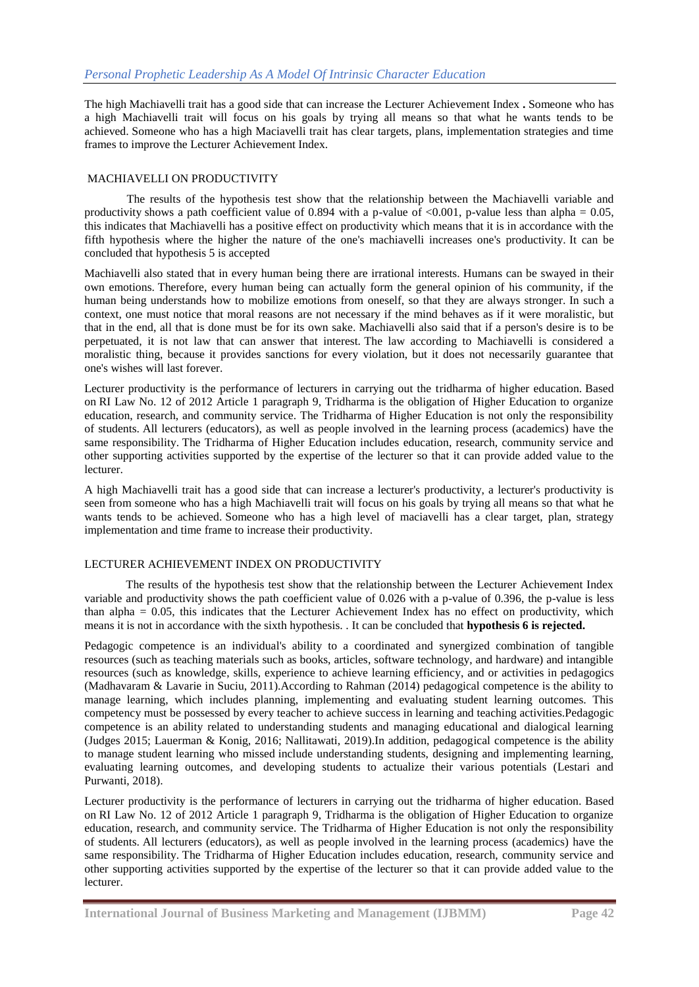The high Machiavelli trait has a good side that can increase the Lecturer Achievement Index **.** Someone who has a high Machiavelli trait will focus on his goals by trying all means so that what he wants tends to be achieved. Someone who has a high Maciavelli trait has clear targets, plans, implementation strategies and time frames to improve the Lecturer Achievement Index.

# MACHIAVELLI ON PRODUCTIVITY

The results of the hypothesis test show that the relationship between the Machiavelli variable and productivity shows a path coefficient value of 0.894 with a p-value of  $\langle 0.001,$  p-value less than alpha = 0.05, this indicates that Machiavelli has a positive effect on productivity which means that it is in accordance with the fifth hypothesis where the higher the nature of the one's machiavelli increases one's productivity. It can be concluded that hypothesis 5 is accepted

Machiavelli also stated that in every human being there are irrational interests. Humans can be swayed in their own emotions. Therefore, every human being can actually form the general opinion of his community, if the human being understands how to mobilize emotions from oneself, so that they are always stronger. In such a context, one must notice that moral reasons are not necessary if the mind behaves as if it were moralistic, but that in the end, all that is done must be for its own sake. Machiavelli also said that if a person's desire is to be perpetuated, it is not law that can answer that interest. The law according to Machiavelli is considered a moralistic thing, because it provides sanctions for every violation, but it does not necessarily guarantee that one's wishes will last forever.

Lecturer productivity is the performance of lecturers in carrying out the tridharma of higher education. Based on RI Law No. 12 of 2012 Article 1 paragraph 9, Tridharma is the obligation of Higher Education to organize education, research, and community service. The Tridharma of Higher Education is not only the responsibility of students. All lecturers (educators), as well as people involved in the learning process (academics) have the same responsibility. The Tridharma of Higher Education includes education, research, community service and other supporting activities supported by the expertise of the lecturer so that it can provide added value to the lecturer.

A high Machiavelli trait has a good side that can increase a lecturer's productivity, a lecturer's productivity is seen from someone who has a high Machiavelli trait will focus on his goals by trying all means so that what he wants tends to be achieved. Someone who has a high level of maciavelli has a clear target, plan, strategy implementation and time frame to increase their productivity.

# LECTURER ACHIEVEMENT INDEX ON PRODUCTIVITY

The results of the hypothesis test show that the relationship between the Lecturer Achievement Index variable and productivity shows the path coefficient value of 0.026 with a p-value of 0.396, the p-value is less than alpha  $= 0.05$ , this indicates that the Lecturer Achievement Index has no effect on productivity, which means it is not in accordance with the sixth hypothesis. . It can be concluded that **hypothesis 6 is rejected.**

Pedagogic competence is an individual's ability to a coordinated and synergized combination of tangible resources (such as teaching materials such as books, articles, software technology, and hardware) and intangible resources (such as knowledge, skills, experience to achieve learning efficiency, and or activities in pedagogics (Madhavaram & Lavarie in Suciu, 2011).According to Rahman (2014) pedagogical competence is the ability to manage learning, which includes planning, implementing and evaluating student learning outcomes. This competency must be possessed by every teacher to achieve success in learning and teaching activities.Pedagogic competence is an ability related to understanding students and managing educational and dialogical learning (Judges 2015; Lauerman & Konig, 2016; Nallitawati, 2019).In addition, pedagogical competence is the ability to manage student learning who missed include understanding students, designing and implementing learning, evaluating learning outcomes, and developing students to actualize their various potentials (Lestari and Purwanti, 2018).

Lecturer productivity is the performance of lecturers in carrying out the tridharma of higher education. Based on RI Law No. 12 of 2012 Article 1 paragraph 9, Tridharma is the obligation of Higher Education to organize education, research, and community service. The Tridharma of Higher Education is not only the responsibility of students. All lecturers (educators), as well as people involved in the learning process (academics) have the same responsibility. The Tridharma of Higher Education includes education, research, community service and other supporting activities supported by the expertise of the lecturer so that it can provide added value to the lecturer.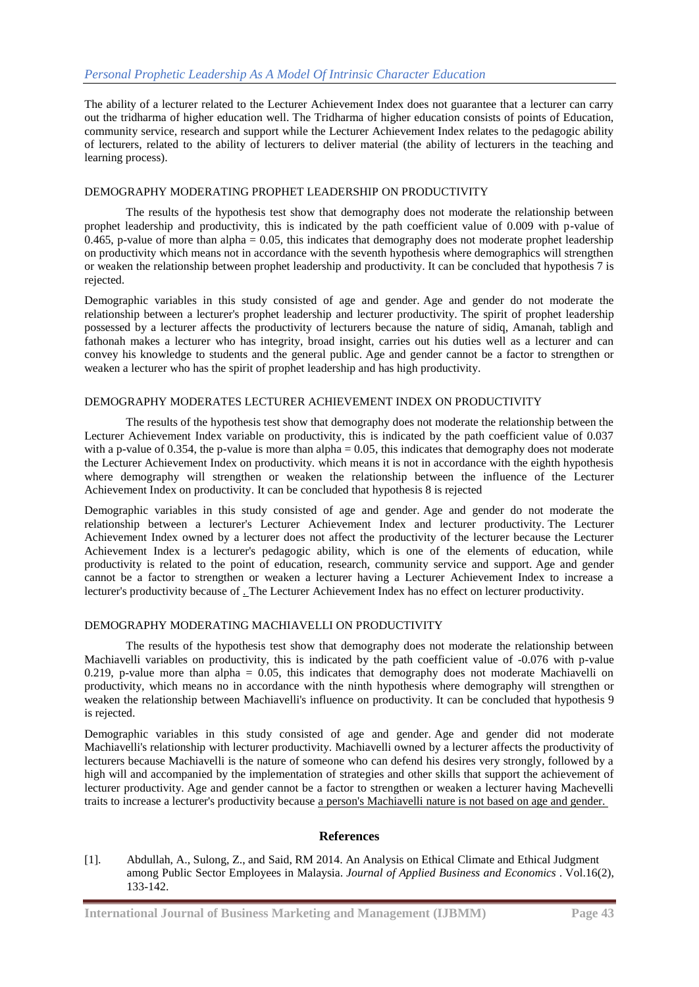The ability of a lecturer related to the Lecturer Achievement Index does not guarantee that a lecturer can carry out the tridharma of higher education well. The Tridharma of higher education consists of points of Education, community service, research and support while the Lecturer Achievement Index relates to the pedagogic ability of lecturers, related to the ability of lecturers to deliver material (the ability of lecturers in the teaching and learning process).

# DEMOGRAPHY MODERATING PROPHET LEADERSHIP ON PRODUCTIVITY

The results of the hypothesis test show that demography does not moderate the relationship between prophet leadership and productivity, this is indicated by the path coefficient value of 0.009 with p-value of 0.465, p-value of more than alpha  $= 0.05$ , this indicates that demography does not moderate prophet leadership on productivity which means not in accordance with the seventh hypothesis where demographics will strengthen or weaken the relationship between prophet leadership and productivity. It can be concluded that hypothesis 7 is rejected.

Demographic variables in this study consisted of age and gender. Age and gender do not moderate the relationship between a lecturer's prophet leadership and lecturer productivity. The spirit of prophet leadership possessed by a lecturer affects the productivity of lecturers because the nature of sidiq, Amanah, tabligh and fathonah makes a lecturer who has integrity, broad insight, carries out his duties well as a lecturer and can convey his knowledge to students and the general public. Age and gender cannot be a factor to strengthen or weaken a lecturer who has the spirit of prophet leadership and has high productivity.

### DEMOGRAPHY MODERATES LECTURER ACHIEVEMENT INDEX ON PRODUCTIVITY

The results of the hypothesis test show that demography does not moderate the relationship between the Lecturer Achievement Index variable on productivity, this is indicated by the path coefficient value of 0.037 with a p-value of 0.354, the p-value is more than  $alpha = 0.05$ , this indicates that demography does not moderate the Lecturer Achievement Index on productivity. which means it is not in accordance with the eighth hypothesis where demography will strengthen or weaken the relationship between the influence of the Lecturer Achievement Index on productivity. It can be concluded that hypothesis 8 is rejected

Demographic variables in this study consisted of age and gender. Age and gender do not moderate the relationship between a lecturer's Lecturer Achievement Index and lecturer productivity. The Lecturer Achievement Index owned by a lecturer does not affect the productivity of the lecturer because the Lecturer Achievement Index is a lecturer's pedagogic ability, which is one of the elements of education, while productivity is related to the point of education, research, community service and support. Age and gender cannot be a factor to strengthen or weaken a lecturer having a Lecturer Achievement Index to increase a lecturer's productivity because of . The Lecturer Achievement Index has no effect on lecturer productivity.

### DEMOGRAPHY MODERATING MACHIAVELLI ON PRODUCTIVITY

The results of the hypothesis test show that demography does not moderate the relationship between Machiavelli variables on productivity, this is indicated by the path coefficient value of -0.076 with p-value 0.219, p-value more than alpha =  $0.05$ , this indicates that demography does not moderate Machiavelli on productivity, which means no in accordance with the ninth hypothesis where demography will strengthen or weaken the relationship between Machiavelli's influence on productivity. It can be concluded that hypothesis 9 is rejected.

Demographic variables in this study consisted of age and gender. Age and gender did not moderate Machiavelli's relationship with lecturer productivity. Machiavelli owned by a lecturer affects the productivity of lecturers because Machiavelli is the nature of someone who can defend his desires very strongly, followed by a high will and accompanied by the implementation of strategies and other skills that support the achievement of lecturer productivity. Age and gender cannot be a factor to strengthen or weaken a lecturer having Machevelli traits to increase a lecturer's productivity because a person's Machiavelli nature is not based on age and gender.

### **References**

[1]. Abdullah, A., Sulong, Z., and Said, RM 2014. An Analysis on Ethical Climate and Ethical Judgment among Public Sector Employees in Malaysia. *Journal of Applied Business and Economics* . Vol.16(2), 133-142.